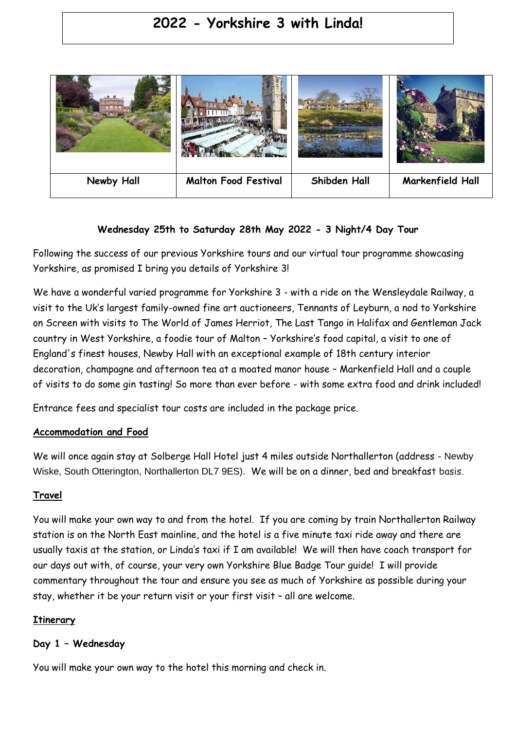# **2022 - Yorkshire 3 with Linda!**



# **Wednesday 25th to Saturday 28th May 2022 - 3 Night/4 Day Tour**

Following the success of our previous Yorkshire tours and our virtual tour programme showcasing Yorkshire, as promised I bring you details of Yorkshire 3!

We have a wonderful varied programme for Yorkshire 3 - with a ride on the Wensleydale Railway, a visit to the Uk's largest family-owned fine art auctioneers, Tennants of Leyburn, a nod to Yorkshire on Screen with visits to The World of James Herriot, The Last Tango in Halifax and Gentleman Jack country in West Yorkshire, a foodie tour of Malton – Yorkshire's food capital, a visit to one of England's finest houses, Newby Hall with an exceptional example of 18th century interior decoration, champagne and afternoon tea at a moated manor house – Markenfield Hall and a couple of visits to do some gin tasting! So more than ever before - with some extra food and drink included!

Entrance fees and specialist tour costs are included in the package price.

# **Accommodation and Food**

We will once again stay at Solberge Hall Hotel just 4 miles outside Northallerton (address - Newby Wiske, South Otterington, Northallerton DL7 9ES). We will be on a dinner, bed and breakfast basis.

# **Travel**

You will make your own way to and from the hotel. If you are coming by train Northallerton Railway station is on the North East mainline, and the hotel is a five minute taxi ride away and there are usually taxis at the station, or Linda's taxi if I am available! We will then have coach transport for our days out with, of course, your very own Yorkshire Blue Badge Tour guide! I will provide commentary throughout the tour and ensure you see as much of Yorkshire as possible during your stay, whether it be your return visit or your first visit – all are welcome.

# **Itinerary**

# **Day 1 – Wednesday**

You will make your own way to the hotel this morning and check in.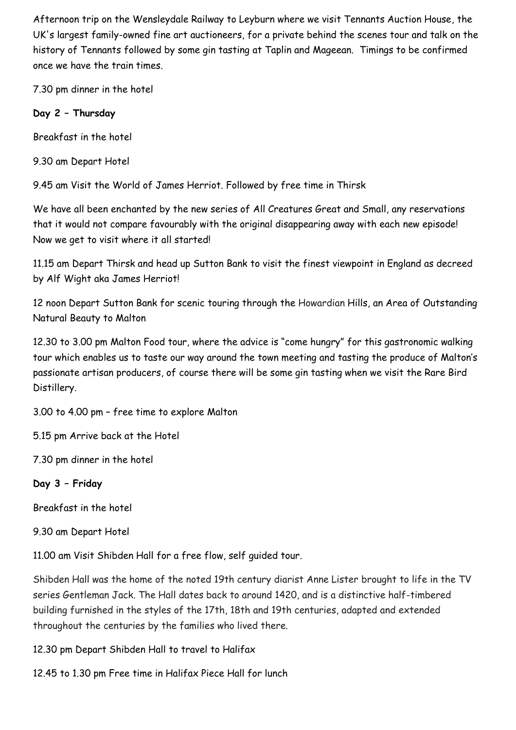Afternoon trip on the Wensleydale Railway to Leyburn where we visit Tennants Auction House, the UK's largest family-owned fine art auctioneers, for a private behind the scenes tour and talk on the history of Tennants followed by some gin tasting at Taplin and Mageean. Timings to be confirmed once we have the train times.

7.30 pm dinner in the hotel

# **Day 2 – Thursday**

Breakfast in the hotel

9.30 am Depart Hotel

9.45 am Visit the World of James Herriot. Followed by free time in Thirsk

We have all been enchanted by the new series of All Creatures Great and Small, any reservations that it would not compare favourably with the original disappearing away with each new episode! Now we get to visit where it all started!

11.15 am Depart Thirsk and head up Sutton Bank to visit the finest viewpoint in England as decreed by Alf Wight aka James Herriot!

12 noon Depart Sutton Bank for scenic touring through the Howardian Hills, an Area of Outstanding Natural Beauty to Malton

12.30 to 3.00 pm Malton Food tour, where the advice is "come hungry" for this gastronomic walking tour which enables us to taste our way around the town meeting and tasting the produce of Malton's passionate artisan producers, of course there will be some gin tasting when we visit the Rare Bird Distillery.

3.00 to 4.00 pm – free time to explore Malton

5.15 pm Arrive back at the Hotel

7.30 pm dinner in the hotel

# **Day 3 – Friday**

Breakfast in the hotel

9.30 am Depart Hotel

11.00 am Visit Shibden Hall for a free flow, self guided tour.

Shibden Hall was the home of the noted 19th century diarist Anne Lister brought to life in the TV series Gentleman Jack. The Hall dates back to around 1420, and is a distinctive half-timbered building furnished in the styles of the 17th, 18th and 19th centuries, adapted and extended throughout the centuries by the families who lived there.

12.30 pm Depart Shibden Hall to travel to Halifax

12.45 to 1.30 pm Free time in Halifax Piece Hall for lunch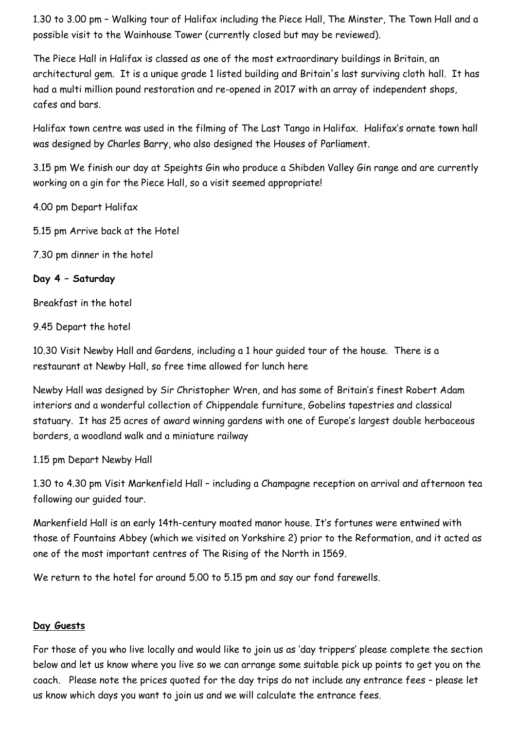1.30 to 3.00 pm – Walking tour of Halifax including the Piece Hall, The Minster, The Town Hall and a possible visit to the Wainhouse Tower (currently closed but may be reviewed).

The Piece Hall in Halifax is classed as one of the most extraordinary buildings in Britain, an architectural gem. It is a unique grade 1 listed building and Britain's last surviving cloth hall. It has had a multi million pound restoration and re-opened in 2017 with an array of independent shops, cafes and bars.

Halifax town centre was used in the filming of The Last Tango in Halifax. Halifax's ornate town hall was designed by Charles Barry, who also designed the Houses of Parliament.

3.15 pm We finish our day at Speights Gin who produce a Shibden Valley Gin range and are currently working on a gin for the Piece Hall, so a visit seemed appropriate!

4.00 pm Depart Halifax

5.15 pm Arrive back at the Hotel

7.30 pm dinner in the hotel

**Day 4 – Saturday**

Breakfast in the hotel

9.45 Depart the hotel

10.30 Visit Newby Hall and Gardens, including a 1 hour guided tour of the house. There is a restaurant at Newby Hall, so free time allowed for lunch here

Newby Hall was designed by Sir Christopher Wren, and has some of Britain's finest Robert Adam interiors and a wonderful collection of Chippendale furniture, Gobelins tapestries and classical statuary. It has 25 acres of award winning gardens with one of Europe's largest double herbaceous borders, a woodland walk and a miniature railway

1.15 pm Depart Newby Hall

1.30 to 4.30 pm Visit Markenfield Hall – including a Champagne reception on arrival and afternoon tea following our guided tour.

Markenfield Hall is an early 14th-century moated manor house. It's fortunes were entwined with those of Fountains Abbey (which we visited on Yorkshire 2) prior to the Reformation, and it acted as one of the most important centres of The Rising of the North in 1569.

We return to the hotel for around 5.00 to 5.15 pm and say our fond farewells.

# **Day Guests**

For those of you who live locally and would like to join us as 'day trippers' please complete the section below and let us know where you live so we can arrange some suitable pick up points to get you on the coach. Please note the prices quoted for the day trips do not include any entrance fees – please let us know which days you want to join us and we will calculate the entrance fees.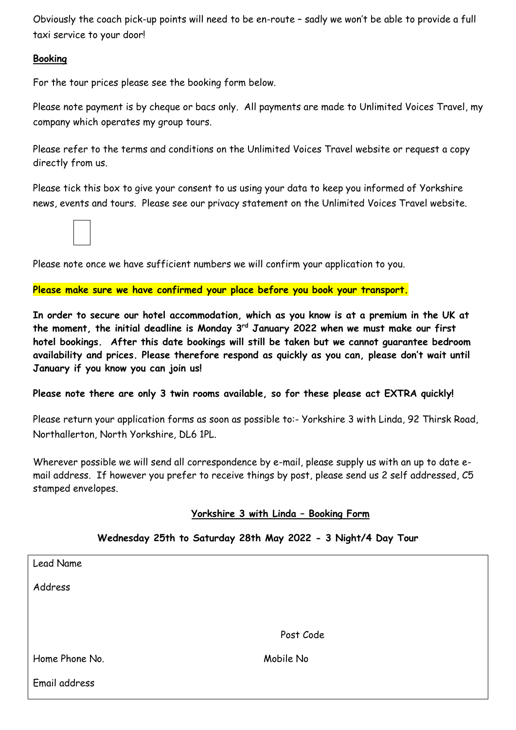Obviously the coach pick-up points will need to be en-route – sadly we won't be able to provide a full taxi service to your door!

#### **Booking**

For the tour prices please see the booking form below.

Please note payment is by cheque or bacs only. All payments are made to Unlimited Voices Travel, my company which operates my group tours.

Please refer to the terms and conditions on the Unlimited Voices Travel website or request a copy directly from us.

Please tick this box to give your consent to us using your data to keep you informed of Yorkshire news, events and tours. Please see our privacy statement on the Unlimited Voices Travel website.

Please note once we have sufficient numbers we will confirm your application to you.

**Please make sure we have confirmed your place before you book your transport.**

**In order to secure our hotel accommodation, which as you know is at a premium in the UK at the moment, the initial deadline is Monday 3rd January 2022 when we must make our first hotel bookings. After this date bookings will still be taken but we cannot guarantee bedroom availability and prices. Please therefore respond as quickly as you can, please don't wait until January if you know you can join us!**

**Please note there are only 3 twin rooms available, so for these please act EXTRA quickly!**

Please return your application forms as soon as possible to:- Yorkshire 3 with Linda, 92 Thirsk Road, Northallerton, North Yorkshire, DL6 1PL.

Wherever possible we will send all correspondence by e-mail, please supply us with an up to date email address. If however you prefer to receive things by post, please send us 2 self addressed, C5 stamped envelopes.

# **Yorkshire 3 with Linda – Booking Form**

| Lead Name      |           |  |
|----------------|-----------|--|
| Address        |           |  |
|                |           |  |
|                | Post Code |  |
|                |           |  |
| Home Phone No. | Mobile No |  |
| Email address  |           |  |

# **Wednesday 25th to Saturday 28th May 2022 - 3 Night/4 Day Tour**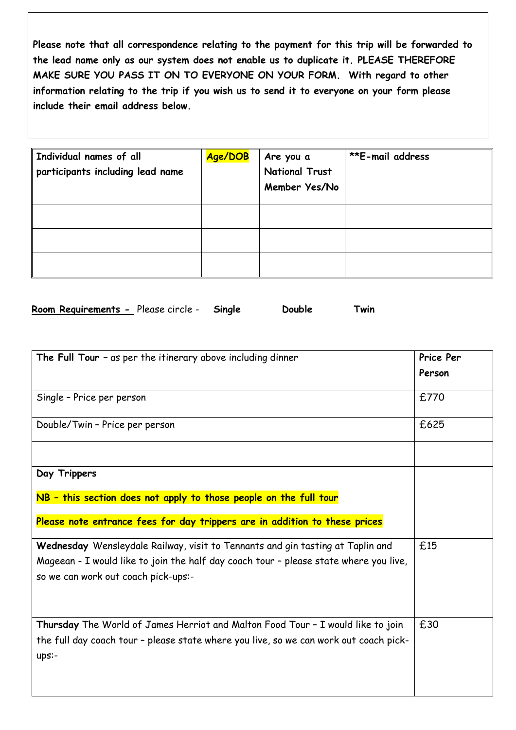**Please note that all correspondence relating to the payment for this trip will be forwarded to the lead name only as our system does not enable us to duplicate it. PLEASE THEREFORE MAKE SURE YOU PASS IT ON TO EVERYONE ON YOUR FORM. With regard to other information relating to the trip if you wish us to send it to everyone on your form please include their email address below.** 

| Individual names of all<br>participants including lead name | Age/DOB | Are you a<br><b>National Trust</b><br>Member Yes/No | <b>**E-mail address</b> |
|-------------------------------------------------------------|---------|-----------------------------------------------------|-------------------------|
|                                                             |         |                                                     |                         |
|                                                             |         |                                                     |                         |
|                                                             |         |                                                     |                         |

| Room Requirements - Please circle - | Single | Double | Twin |
|-------------------------------------|--------|--------|------|
|-------------------------------------|--------|--------|------|

| The Full Tour $-$ as per the itinerary above including dinner                                                                                                                                                  | Price Per |
|----------------------------------------------------------------------------------------------------------------------------------------------------------------------------------------------------------------|-----------|
|                                                                                                                                                                                                                | Person    |
| Single - Price per person                                                                                                                                                                                      | £770      |
| Double/Twin - Price per person                                                                                                                                                                                 | £625      |
|                                                                                                                                                                                                                |           |
| Day Trippers                                                                                                                                                                                                   |           |
| NB - this section does not apply to those people on the full tour                                                                                                                                              |           |
| Please note entrance fees for day trippers are in addition to these prices                                                                                                                                     |           |
| Wednesday Wensleydale Railway, visit to Tennants and gin tasting at Taplin and<br>Mageean - I would like to join the half day coach tour - please state where you live,<br>so we can work out coach pick-ups:- | £15       |
|                                                                                                                                                                                                                |           |
| Thursday The World of James Herriot and Malton Food Tour - I would like to join<br>the full day coach tour - please state where you live, so we can work out coach pick-<br>ups:-                              | £30       |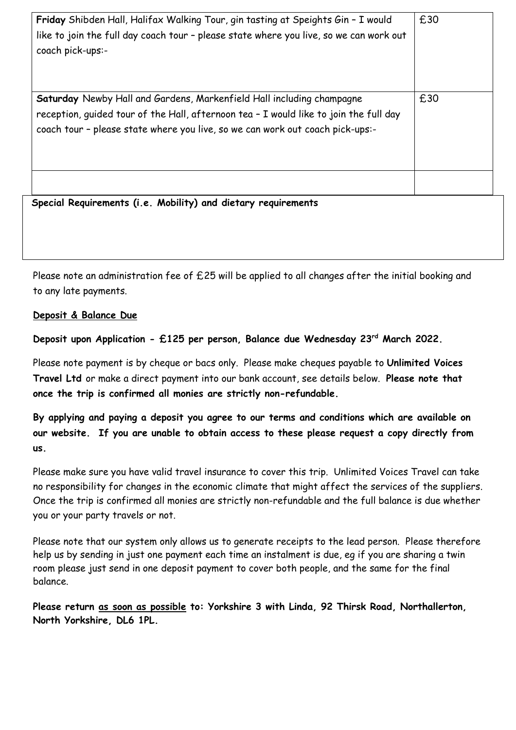| Friday Shibden Hall, Halifax Walking Tour, gin tasting at Speights Gin - I would<br>like to join the full day coach tour - please state where you live, so we can work out<br>coach pick-ups:-                                                  | £30 |
|-------------------------------------------------------------------------------------------------------------------------------------------------------------------------------------------------------------------------------------------------|-----|
| Saturday Newby Hall and Gardens, Markenfield Hall including champagne<br>reception, quided tour of the Hall, afternoon tea - I would like to join the full day<br>coach tour - please state where you live, so we can work out coach pick-ups:- | £30 |
| Special Requirements (i.e. Mobility) and dietary requirements                                                                                                                                                                                   |     |

Please note an administration fee of £25 will be applied to all changes after the initial booking and to any late payments.

# **Deposit & Balance Due**

**Deposit upon Application - £125 per person, Balance due Wednesday 23rd March 2022.**

Please note payment is by cheque or bacs only. Please make cheques payable to **Unlimited Voices Travel Ltd** or make a direct payment into our bank account, see details below. **Please note that once the trip is confirmed all monies are strictly non-refundable.**

**By applying and paying a deposit you agree to our terms and conditions which are available on our website. If you are unable to obtain access to these please request a copy directly from us.**

Please make sure you have valid travel insurance to cover this trip. Unlimited Voices Travel can take no responsibility for changes in the economic climate that might affect the services of the suppliers. Once the trip is confirmed all monies are strictly non-refundable and the full balance is due whether you or your party travels or not.

Please note that our system only allows us to generate receipts to the lead person. Please therefore help us by sending in just one payment each time an instalment is due, eg if you are sharing a twin room please just send in one deposit payment to cover both people, and the same for the final balance.

**Please return as soon as possible to: Yorkshire 3 with Linda, 92 Thirsk Road, Northallerton, North Yorkshire, DL6 1PL.**